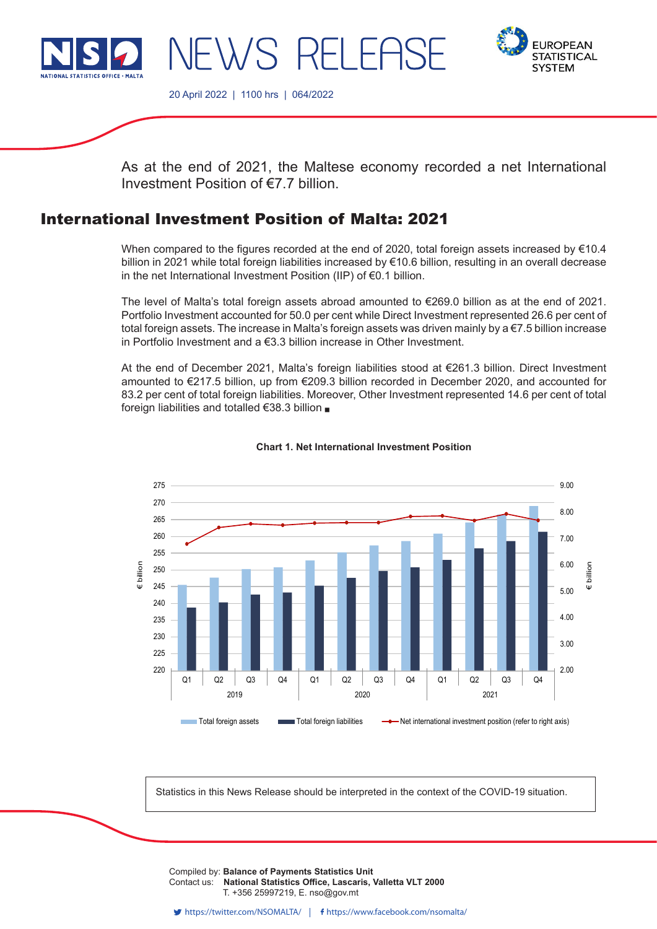

NEWS RELEASE



20 April 2022 | 1100 hrs | 064/2022

As at the end of 2021, the Maltese economy recorded a net International Investment Position of €7.7 billion.

# International Investment Position of Malta: 2021

When compared to the figures recorded at the end of 2020, total foreign assets increased by  $€10.4$ billion in 2021 while total foreign liabilities increased by €10.6 billion, resulting in an overall decrease in the net International Investment Position (IIP) of €0.1 billion.

The level of Malta's total foreign assets abroad amounted to €269.0 billion as at the end of 2021. Portfolio Investment accounted for 50.0 per cent while Direct Investment represented 26.6 per cent of total foreign assets. The increase in Malta's foreign assets was driven mainly by a €7.5 billion increase in Portfolio Investment and a €3.3 billion increase in Other Investment.

At the end of December 2021, Malta's foreign liabilities stood at €261.3 billion. Direct Investment amounted to €217.5 billion, up from €209.3 billion recorded in December 2020, and accounted for 83.2 per cent of total foreign liabilities. Moreover, Other Investment represented 14.6 per cent of total foreign liabilities and totalled €38.3 billion



### **Chart 1. Net International Investment Position**

Statistics in this News Release should be interpreted in the context of the COVID-19 situation.

Compiled by: B<mark>alance of Payments Statistics Unit</mark> **T.** +356 25997219, E. nso@gov.mt T. +356 2599 7219 F. +356 2599 7205 E. nso@gov.mt Contact us: **National Statistics Office, Lascaris, Valletta VLT 2000**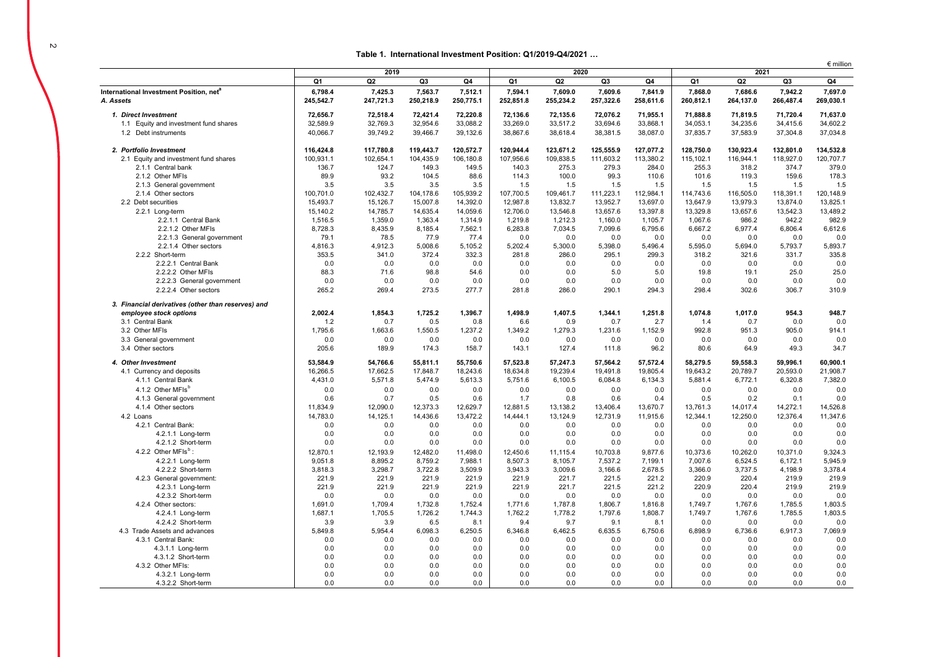$\sim$ 

### **Table 1. International Investment Position: Q1/2019-Q4/2021 …**

|                                                    |                | 2019           |           | 2020      |           |                | $\epsilon$ million<br>2021 |           |           |           |           |           |
|----------------------------------------------------|----------------|----------------|-----------|-----------|-----------|----------------|----------------------------|-----------|-----------|-----------|-----------|-----------|
|                                                    | Q1             | Q <sub>2</sub> | Q3        | Q4        | Q1        | Q2             | Q3                         | Q4        | Q1        | Q2        | Q3        | Q4        |
| International Investment Position, net®            | 6,798.4        | 7,425.3        | 7,563.7   | 7,512.1   | 7,594.1   | 7,609.0        | 7,609.6                    | 7,841.9   | 7,868.0   | 7,686.6   | 7,942.2   | 7,697.0   |
| A. Assets                                          | 245,542.7      | 247,721.3      | 250,218.9 | 250,775.1 | 252,851.8 | 255,234.2      | 257,322.6                  | 258,611.6 | 260,812.1 | 264,137.0 | 266,487.4 | 269,030.1 |
| 1. Direct Investment                               | 72,656.7       | 72,518.4       | 72,421.4  | 72,220.8  | 72,136.6  | 72,135.6       | 72,076.2                   | 71,955.1  | 71,888.8  | 71,819.5  | 71,720.4  | 71,637.0  |
| 1.1 Equity and investment fund shares              | 32,589.9       | 32,769.3       | 32,954.6  | 33,088.2  | 33,269.0  | 33,517.2       | 33,694.6                   | 33,868.1  | 34,053.1  | 34,235.6  | 34,415.6  | 34,602.2  |
| 1.2 Debt instruments                               | 40,066.7       | 39,749.2       | 39,466.7  | 39,132.6  | 38,867.6  | 38,618.4       | 38,381.5                   | 38,087.0  | 37,835.7  | 37,583.9  | 37,304.8  | 37,034.8  |
| 2. Portfolio Investment                            | 116,424.8      | 117,780.8      | 119,443.7 | 120.572.7 | 120.944.4 | 123.671.2      | 125.555.9                  | 127.077.2 | 128,750.0 | 130.923.4 | 132.801.0 | 134,532.8 |
| 2.1 Equity and investment fund shares              | 100.931.1      | 102,654.1      | 104.435.9 | 106.180.8 | 107,956.6 | 109,838.5      | 111,603.2                  | 113,380.2 | 115,102.1 | 116.944.1 | 118.927.0 | 120.707.7 |
| 2.1.1 Central bank                                 | 136.7          | 124.7          | 149.3     | 149.5     | 140.3     | 275.3          | 279.3                      | 284.0     | 255.3     | 318.2     | 374.7     | 379.0     |
| 2.1.2 Other MFIs                                   | 89.9           | 93.2           | 104.5     | 88.6      | 114.3     | 100.0          | 99.3                       | 110.6     | 101.6     | 119.3     | 159.6     | 178.3     |
| 2.1.3 General government                           | 3.5            | 3.5            | 3.5       | 3.5       | 1.5       | 1.5            | 1.5                        | 1.5       | 1.5       | 1.5       | 1.5       | 1.5       |
| 2.1.4 Other sectors                                | 100,701.0      | 102,432.7      | 104,178.6 | 105,939.2 | 107,700.5 | 109,461.7      | 111,223.1                  | 112,984.1 | 114,743.6 | 116,505.0 | 118,391.1 | 120,148.9 |
| 2.2 Debt securities                                | 15,493.7       | 15,126.7       | 15,007.8  | 14,392.0  | 12,987.8  | 13,832.7       | 13,952.7                   | 13,697.0  | 13,647.9  | 13,979.3  | 13,874.0  | 13,825.1  |
| 2.2.1 Long-term                                    | 15,140.2       | 14,785.7       | 14,635.4  | 14,059.6  | 12,706.0  | 13,546.8       | 13,657.6                   | 13,397.8  | 13,329.8  | 13,657.6  | 13,542.3  | 13,489.2  |
| 2.2.1.1 Central Bank                               | 1,516.5        | 1.359.0        | 1.363.4   | 1,314.9   | 1,219.8   | 1,212.3        | 1.160.0                    | 1.105.7   | 1,067.6   | 986.2     | 942.2     | 982.9     |
| 2.2.1.2 Other MFIs                                 | 8,728.3        | 8,435.9        | 8,185.4   | 7,562.1   | 6,283.8   | 7,034.5        | 7,099.6                    | 6,795.6   | 6,667.2   | 6,977.4   | 6,806.4   | 6,612.6   |
| 2.2.1.3 General government                         | 79.1           | 78.5           | 77.9      | 77.4      | 0.0       | 0.0            | 0.0                        | 0.0       | 0.0       | 0.0       | 0.0       | 0.0       |
| 2.2.1.4 Other sectors                              | 4,816.3        | 4,912.3        | 5,008.6   | 5,105.2   | 5,202.4   | 5,300.0        | 5,398.0                    | 5,496.4   | 5,595.0   | 5,694.0   | 5,793.7   | 5,893.7   |
| 2.2.2 Short-term                                   | 353.5          | 341.0          | 372.4     | 332.3     | 281.8     | 286.0          | 295.1                      | 299.3     | 318.2     | 321.6     | 331.7     | 335.8     |
| 2.2.2.1 Central Bank                               | 0.0            | 0.0            | 0.0       | 0.0       | 0.0       | 0.0            | 0.0                        | 0.0       | 0.0       | 0.0       | 0.0       | 0.0       |
| 2.2.2.2 Other MFIs                                 | 88.3           | 71.6           | 98.8      | 54.6      | 0.0       | 0.0            | 5.0                        | 5.0       | 19.8      | 19.1      | 25.0      | 25.0      |
| 2.2.2.3 General government                         | 0.0            | 0.0            | 0.0       | 0.0       | 0.0       | 0.0            | 0.0                        | 0.0       | 0.0       | 0.0       | 0.0       | 0.0       |
| 2.2.2.4 Other sectors                              | 265.2          | 269.4          | 273.5     | 277.7     | 281.8     | 286.0          | 290.1                      | 294.3     | 298.4     | 302.6     | 306.7     | 310.9     |
| 3. Financial derivatives (other than reserves) and |                |                |           |           |           |                |                            |           |           |           |           |           |
| employee stock options                             | 2.002.4        | 1.854.3        | 1.725.2   | 1.396.7   | 1.498.9   | 1.407.5        | 1.344.1                    | 1.251.8   | 1.074.8   | 1.017.0   | 954.3     | 948.7     |
| 3.1 Central Bank                                   | 1.2            | 0.7            | 0.5       | 0.8       | 6.6       | 0.9            | 0.7                        | 2.7       | 1.4       | 0.7       | 0.0       | 0.0       |
| 3.2 Other MFIs                                     | 1,795.6        | 1,663.6        | 1,550.5   | 1,237.2   | 1,349.2   | 1,279.3        | 1,231.6                    | 1,152.9   | 992.8     | 951.3     | 905.0     | 914.1     |
| 3.3 General government                             | 0.0            | 0.0            | 0.0       | 0.0       | 0.0       | 0.0            | 0.0                        | 0.0       | 0.0       | 0.0       | 0.0       | 0.0       |
| 3.4 Other sectors                                  | 205.6          | 189.9          | 174.3     | 158.7     | 143.1     | 127.4          | 111.8                      | 96.2      | 80.6      | 64.9      | 49.3      | 34.7      |
| 4. Other Investment                                | 53,584.9       | 54,766.6       | 55,811.1  | 55.750.6  | 57,523.8  | 57,247.3       | 57.564.2                   | 57,572.4  | 58,279.5  | 59,558.3  | 59.996.1  | 60,900.1  |
| 4.1 Currency and deposits                          | 16,266.5       | 17,662.5       | 17,848.7  | 18,243.6  | 18,634.8  | 19.239.4       | 19,491.8                   | 19,805.4  | 19,643.2  | 20.789.7  | 20,593.0  | 21,908.7  |
| 4.1.1 Central Bank                                 | 4,431.0        | 5,571.8        | 5,474.9   | 5,613.3   | 5,751.6   | 6,100.5        | 6,084.8                    | 6,134.3   | 5,881.4   | 6,772.1   | 6,320.8   | 7,382.0   |
| 4.1.2 Other MFIs <sup>b</sup>                      | 0.0            | 0.0            | 0.0       | 0.0       | 0.0       | 0.0            | 0.0                        | 0.0       | 0.0       | 0.0       | 0.0       | 0.0       |
| 4.1.3 General government                           | 0.6            | 0.7            | 0.5       | 0.6       | 1.7       | 0.8            | 0.6                        | 0.4       | 0.5       | 0.2       | 0.1       | 0.0       |
| 4.1.4 Other sectors                                | 11,834.9       | 12,090.0       | 12,373.3  | 12,629.7  | 12,881.5  | 13,138.2       | 13,406.4                   | 13,670.7  | 13,761.3  | 14,017.4  | 14,272.1  | 14,526.8  |
| 4.2 Loans                                          | 14,783.0       | 14,125.1       | 14,436.6  | 13,472.2  | 14,444.1  | 13,124.9       | 12,731.9                   | 11,915.6  | 12,344.1  | 12,250.0  | 12,376.4  | 11,347.6  |
| 4.2.1 Central Bank:                                | 0.0            | 0.0            | 0.0       | 0.0       | 0.0       | 0.0            | 0.0                        | 0.0       | 0.0       | 0.0       | 0.0       | 0.0       |
| 4.2.1.1 Long-term                                  | 0.0            | 0.0            | 0.0       | 0.0       | 0.0       | 0.0            | 0.0                        | 0.0       | 0.0       | 0.0       | 0.0       | 0.0       |
| 4.2.1.2 Short-term                                 | 0.0            | 0.0            | 0.0       | 0.0       | 0.0       | 0.0            | 0.0                        | 0.0       | 0.0       | 0.0       | 0.0       | 0.0       |
| 4.2.2 Other MFIs <sup>b</sup> :                    | 12,870.1       | 12,193.9       | 12,482.0  | 11,498.0  | 12,450.6  | 11,115.4       | 10,703.8                   | 9,877.6   | 10,373.6  | 10,262.0  | 10,371.0  | 9,324.3   |
| 4.2.2.1 Long-term                                  | 9,051.8        | 8,895.2        | 8,759.2   | 7,988.1   | 8,507.3   | 8,105.7        | 7,537.2                    | 7,199.1   | 7,007.6   | 6,524.5   | 6,172.1   | 5,945.9   |
| 4.2.2.2 Short-term                                 | 3,818.3        | 3,298.7        | 3,722.8   | 3,509.9   | 3,943.3   | 3,009.6        | 3,166.6                    | 2,678.5   | 3,366.0   | 3,737.5   | 4,198.9   | 3,378.4   |
| 4.2.3 General government:                          | 221.9          | 221.9          | 221.9     | 221.9     | 221.9     | 221.7          | 221.5                      | 221.2     | 220.9     | 220.4     | 219.9     | 219.9     |
| 4.2.3.1 Long-term                                  | 221.9          | 221.9          | 221.9     | 221.9     | 221.9     | 221.7          | 221.5                      | 221.2     | 220.9     | 220.4     | 219.9     | 219.9     |
| 4.2.3.2 Short-term                                 | 0.0            | 0.0            | 0.0       | 0.0       | 0.0       | 0.0            | 0.0                        | 0.0       | 0.0       | 0.0       | 0.0       | 0.0       |
| 4.2.4 Other sectors:                               | 1,691.0        | 1,709.4        | 1,732.8   | 1,752.4   | 1,771.6   | 1,787.8        | 1,806.7                    | 1,816.8   | 1,749.7   | 1,767.6   | 1.785.5   | 1,803.5   |
| 4.2.4.1 Long-term                                  | 1,687.1        | 1,705.5        | 1,726.2   | 1.744.3   | 1,762.2   | 1,778.2        | 1,797.6                    | 1.808.7   | 1,749.7   | 1,767.6   | 1.785.5   | 1,803.5   |
| 4.2.4.2 Short-term                                 | 3.9            | 3.9            | 6.5       | 8.1       | 9.4       | 9.7            | 9.1                        | 8.1       | 0.0       | 0.0       | 0.0       | 0.0       |
| 4.3 Trade Assets and advances                      | 5,849.8        | 5,954.4        | 6,098.3   | 6,250.5   | 6,346.8   | 6,462.5        | 6,635.5                    | 6,750.6   | 6,898.9   | 6,736.6   | 6,917.3   | 7,069.9   |
| 4.3.1 Central Bank:                                | 0.0            | 0.0            | 0.0       | 0.0       | 0.0       | 0.0            | 0.0                        | 0.0       | 0.0       | 0.0       | 0.0       | 0.0       |
| 4.3.1.1 Long-term                                  | 0.0            | 0.0            | 0.0       | 0.0       | 0.0       | 0.0            | 0.0                        | 0.0       | 0.0       | 0.0       | 0.0       | 0.0       |
| 4.3.1.2 Short-term                                 | 0.0            | 0.0            | 0.0       | 0.0       | 0.0       | 0.0            | 0.0                        | 0.0       | 0.0       | 0.0       | 0.0       | 0.0       |
| 4.3.2 Other MFIs:                                  | 0.0            | 0.0            | 0.0       | 0.0       | 0.0       | 0.0            | 0.0                        | 0.0       | 0.0       | 0.0       | 0.0       | 0.0       |
| 4.3.2.1 Long-term                                  | 0.0            | 0.0            | 0.0       | 0.0       | 0.0       | 0.0            | 0.0                        | 0.0       | 0.0       | 0.0       | 0.0       | 0.0       |
| 4.3.2.2 Short-term                                 | 0 <sub>0</sub> | 0.0            | 0.0       | 0.0       | 0.0       | 0 <sub>0</sub> | 0.0                        | 0.0       | 0.0       | 0.0       | 0.0       | 0.0       |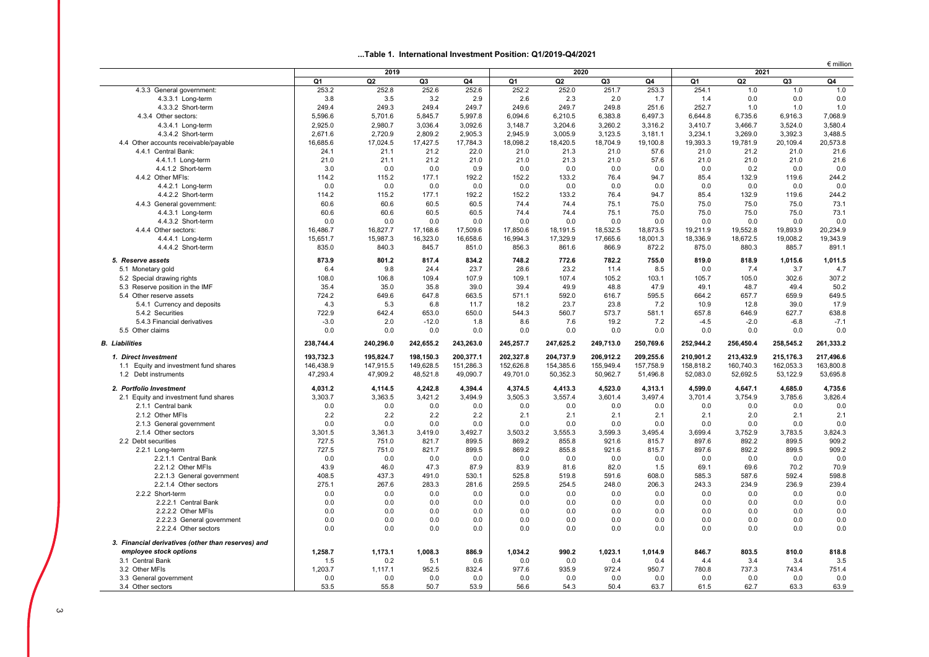#### **...Table 1. International Investment Position: Q1/2019-Q4/2021**

|                                                    |           |            | 2020      |           |           | $\epsilon$ million<br>2021 |           |           |           |                |           |           |
|----------------------------------------------------|-----------|------------|-----------|-----------|-----------|----------------------------|-----------|-----------|-----------|----------------|-----------|-----------|
|                                                    | Q1        | 2019<br>Q2 | Q3        | Q4        | Q1        | Q <sub>2</sub>             | Q3        | Q4        | Q1        | Q <sub>2</sub> | Q3        | Q4        |
| 4.3.3 General government:                          | 253.2     | 252.8      | 252.6     | 252.6     | 252.2     | 252.0                      | 251.7     | 253.3     | 254.1     | $1.0$          | 1.0       | 1.0       |
| 4.3.3.1 Long-term                                  | 3.8       | 3.5        | 3.2       | 2.9       | 2.6       | 2.3                        | 2.0       | 1.7       | 1.4       | 0.0            | 0.0       | 0.0       |
| 4.3.3.2 Short-term                                 | 249.4     | 249.3      | 249.4     | 249.7     | 249.6     | 249.7                      | 249.8     | 251.6     | 252.7     | 1.0            | 1.0       | 1.0       |
| 4.3.4 Other sectors:                               | 5,596.6   | 5,701.6    | 5,845.7   | 5,997.8   | 6,094.6   | 6,210.5                    | 6,383.8   | 6,497.3   | 6,644.8   | 6,735.6        | 6,916.3   | 7,068.9   |
| 4.3.4.1 Long-term                                  | 2,925.0   | 2,980.7    | 3,036.4   | 3.092.6   | 3,148.7   | 3.204.6                    | 3.260.2   | 3.316.2   | 3.410.7   | 3,466.7        | 3.524.0   | 3.580.4   |
| 4.3.4.2 Short-term                                 | 2,671.6   | 2,720.9    | 2,809.2   | 2,905.3   | 2,945.9   | 3,005.9                    | 3,123.5   | 3,181.1   | 3,234.1   | 3,269.0        | 3,392.3   | 3,488.5   |
| 4.4 Other accounts receivable/payable              | 16,685.6  | 17,024.5   | 17,427.5  | 17,784.3  | 18,098.2  | 18,420.5                   | 18,704.9  | 19,100.8  | 19,393.3  | 19,781.9       | 20,109.4  | 20,573.8  |
| 4.4.1 Central Bank:                                | 24.1      | 21.1       | 21.2      | 22.0      | 21.0      | 21.3                       | 21.0      | 57.6      | 21.0      | 21.2           | 21.0      | 21.6      |
| 4.4.1.1 Long-term                                  | 21.0      | 21.1       | 21.2      | 21.0      | 21.0      | 21.3                       | 21.0      | 57.6      | 21.0      | 21.0           | 21.0      | 21.6      |
| 4.4.1.2 Short-term                                 | 3.0       | 0.0        | 0.0       | 0.9       | 0.0       | 0.0                        | 0.0       | 0.0       | 0.0       | 0.2            | 0.0       | 0.0       |
| 4.4.2 Other MFIs:                                  | 114.2     | 115.2      | 177.1     | 192.2     | 152.2     | 133.2                      | 76.4      | 94.7      | 85.4      | 132.9          | 119.6     | 244.2     |
| 4.4.2.1 Long-term                                  | 0.0       | 0.0        | 0.0       | 0.0       | 0.0       | 0.0                        | 0.0       | 0.0       | 0.0       | 0.0            | 0.0       | 0.0       |
| 4.4.2.2 Short-term                                 | 114.2     | 115.2      | 177.1     | 192.2     | 152.2     | 133.2                      | 76.4      | 94.7      | 85.4      | 132.9          | 119.6     | 244.2     |
| 4.4.3 General government:                          | 60.6      | 60.6       | 60.5      | 60.5      | 74.4      | 74.4                       | 75.1      | 75.0      | 75.0      | 75.0           | 75.0      | 73.1      |
| 4.4.3.1 Long-term                                  | 60.6      | 60.6       | 60.5      | 60.5      | 74.4      | 74.4                       | 75.1      | 75.0      | 75.0      | 75.0           | 75.0      | 73.1      |
| 4.4.3.2 Short-term                                 | 0.0       | 0.0        | 0.0       | 0.0       | 0.0       | 0.0                        | 0.0       | 0.0       | 0.0       | 0.0            | 0.0       | 0.0       |
| 4.4.4 Other sectors:                               | 16,486.7  | 16,827.7   | 17,168.6  | 17,509.6  | 17,850.6  | 18.191.5                   | 18.532.5  | 18.873.5  | 19,211.9  | 19,552.8       | 19,893.9  | 20.234.9  |
| 4.4.4.1 Long-term                                  | 15.651.7  | 15,987.3   | 16,323.0  | 16.658.6  | 16,994.3  | 17,329.9                   | 17,665.6  | 18.001.3  | 18,336.9  | 18,672.5       | 19.008.2  | 19.343.9  |
| 4.4.4.2 Short-term                                 | 835.0     | 840.3      | 845.7     | 851.0     | 856.3     | 861.6                      | 866.9     | 872.2     | 875.0     | 880.3          | 885.7     | 891.1     |
| 5. Reserve assets                                  | 873.9     | 801.2      | 817.4     | 834.2     | 748.2     | 772.6                      | 782.2     | 755.0     | 819.0     | 818.9          | 1,015.6   | 1,011.5   |
| 5.1 Monetary gold                                  | 6.4       | 9.8        | 24.4      | 23.7      | 28.6      | 23.2                       | 11.4      | 8.5       | 0.0       | 7.4            | 3.7       | 4.7       |
| 5.2 Special drawing rights                         | 108.0     | 106.8      | 109.4     | 107.9     | 109.1     | 107.4                      | 105.2     | 103.1     | 105.7     | 105.0          | 302.6     | 307.2     |
| 5.3 Reserve position in the IMF                    | 35.4      | 35.0       | 35.8      | 39.0      | 39.4      | 49.9                       | 48.8      | 47.9      | 49.1      | 48.7           | 49.4      | 50.2      |
| 5.4 Other reserve assets                           | 724.2     | 649.6      | 647.8     | 663.5     | 571.1     | 592.0                      | 616.7     | 595.5     | 664.2     | 657.7          | 659.9     | 649.5     |
| 5.4.1 Currency and deposits                        | 4.3       | 5.3        | 6.8       | 11.7      | 18.2      | 23.7                       | 23.8      | 7.2       | 10.9      | 12.8           | 39.0      | 17.9      |
| 5.4.2 Securities                                   | 722.9     | 642.4      | 653.0     | 650.0     | 544.3     | 560.7                      | 573.7     | 581.1     | 657.8     | 646.9          | 627.7     | 638.8     |
| 5.4.3 Financial derivatives                        | $-3.0$    | 2.0        | $-12.0$   | 1.8       | 8.6       | 7.6                        | 19.2      | 7.2       | $-4.5$    | $-2.0$         | $-6.8$    | $-7.1$    |
| 5.5 Other claims                                   | 0.0       | 0.0        | 0.0       | 0.0       | 0.0       | 0.0                        | 0.0       | 0.0       | 0.0       | 0.0            | 0.0       | 0.0       |
| <b>B.</b> Liabilities                              | 238,744.4 | 240,296.0  | 242,655.2 | 243,263.0 | 245,257.7 | 247,625.2                  | 249,713.0 | 250,769.6 | 252,944.2 | 256,450.4      | 258,545.2 | 261,333.2 |
| 1. Direct Investment                               | 193,732.3 | 195,824.7  | 198,150.3 | 200,377.1 | 202,327.8 | 204,737.9                  | 206,912.2 | 209,255.6 | 210,901.2 | 213,432.9      | 215,176.3 | 217,496.6 |
| 1.1 Equity and investment fund shares              | 146,438.9 | 147,915.5  | 149,628.5 | 151,286.3 | 152,626.8 | 154,385.6                  | 155,949.4 | 157,758.9 | 158,818.2 | 160,740.3      | 162,053.3 | 163,800.8 |
| 1.2 Debt instruments                               | 47,293.4  | 47,909.2   | 48,521.8  | 49,090.7  | 49,701.0  | 50,352.3                   | 50,962.7  | 51,496.8  | 52,083.0  | 52,692.5       | 53,122.9  | 53,695.8  |
| 2. Portfolio Investment                            | 4.031.2   | 4,114.5    | 4,242.8   | 4.394.4   | 4,374.5   | 4,413.3                    | 4.523.0   | 4,313.1   | 4.599.0   | 4,647.1        | 4,685.0   | 4,735.6   |
| 2.1 Equity and investment fund shares              | 3,303.7   | 3,363.5    | 3,421.2   | 3,494.9   | 3,505.3   | 3,557.4                    | 3,601.4   | 3,497.4   | 3,701.4   | 3,754.9        | 3,785.6   | 3,826.4   |
| 2.1.1 Central bank                                 | 0.0       | 0.0        | 0.0       | 0.0       | 0.0       | 0.0                        | 0.0       | 0.0       | 0.0       | 0.0            | 0.0       | 0.0       |
| 2.1.2 Other MFIs                                   | 2.2       | 2.2        | 2.2       | 2.2       | 2.1       | 2.1                        | 2.1       | 2.1       | 2.1       | 2.0            | 2.1       | 2.1       |
| 2.1.3 General government                           | 0.0       | 0.0        | 0.0       | 0.0       | 0.0       | 0.0                        | 0.0       | 0.0       | 0.0       | 0.0            | 0.0       | 0.0       |
| 2.1.4 Other sectors                                | 3,301.5   | 3,361.3    | 3.419.0   | 3,492.7   | 3,503.2   | 3,555.3                    | 3,599.3   | 3,495.4   | 3,699.4   | 3,752.9        | 3,783.5   | 3,824.3   |
| 2.2 Debt securities                                | 727.5     | 751.0      | 821.7     | 899.5     | 869.2     | 855.8                      | 921.6     | 815.7     | 897.6     | 892.2          | 899.5     | 909.2     |
| 2.2.1 Long-term                                    | 727.5     | 751.0      | 821.7     | 899.5     | 869.2     | 855.8                      | 921.6     | 815.7     | 897.6     | 892.2          | 899.5     | 909.2     |
| 2.2.1.1 Central Bank                               | 0.0       | 0.0        | 0.0       | 0.0       | 0.0       | 0.0                        | 0.0       | 0.0       | 0.0       | 0.0            | 0.0       | 0.0       |
| 2.2.1.2 Other MFIs                                 | 43.9      | 46.0       | 47.3      | 87.9      | 83.9      | 81.6                       | 82.0      | 1.5       | 69.1      | 69.6           | 70.2      | 70.9      |
| 2.2.1.3 General government                         | 408.5     | 437.3      | 491.0     | 530.1     | 525.8     | 519.8                      | 591.6     | 608.0     | 585.3     | 587.6          | 592.4     | 598.8     |
| 2.2.1.4 Other sectors                              | 275.1     | 267.6      | 283.3     | 281.6     | 259.5     | 254.5                      | 248.0     | 206.3     | 243.3     | 234.9          | 236.9     | 239.4     |
| 2.2.2 Short-term                                   | 0.0       | 0.0        | 0.0       | 0.0       | 0.0       | 0.0                        | 0.0       | 0.0       | 0.0       | 0.0            | 0.0       | 0.0       |
| 2.2.2.1 Central Bank                               | 0.0       | 0.0        | 0.0       | 0.0       | 0.0       | 0.0                        | 0.0       | 0.0       | 0.0       | 0.0            | 0.0       | 0.0       |
| 2.2.2.2 Other MFIs                                 | 0.0       | 0.0        | 0.0       | 0.0       | 0.0       | 0.0                        | 0.0       | 0.0       | 0.0       | 0.0            | 0.0       | 0.0       |
| 2.2.2.3 General government                         | 0.0       | 0.0        | 0.0       | 0.0       | 0.0       | 0.0                        | 0.0       | 0.0       | 0.0       | 0.0            | 0.0       | 0.0       |
| 2.2.2.4 Other sectors                              | 0.0       | 0.0        | 0.0       | 0.0       | 0.0       | 0.0                        | 0.0       | 0.0       | 0.0       | 0.0            | 0.0       | 0.0       |
| 3. Financial derivatives (other than reserves) and |           |            |           |           |           |                            |           |           |           |                |           |           |
| employee stock options                             | 1,258.7   | 1,173.1    | 1.008.3   | 886.9     | 1.034.2   | 990.2                      | 1.023.1   | 1,014.9   | 846.7     | 803.5          | 810.0     | 818.8     |
| 3.1 Central Bank                                   | 1.5       | 0.2        | 5.1       | 0.6       | 0.0       | 0.0                        | 0.4       | 0.4       | 4.4       | 3.4            | 3.4       | 3.5       |
| 3.2 Other MFIs                                     | 1,203.7   | 1,117.1    | 952.5     | 832.4     | 977.6     | 935.9                      | 972.4     | 950.7     | 780.8     | 737.3          | 743.4     | 751.4     |
| 3.3 General government                             | 0.0       | 0.0        | 0.0       | 0.0       | 0.0       | 0.0                        | 0.0       | 0.0       | 0.0       | 0.0            | 0.0       | 0.0       |
| 3.4 Other sectors                                  | 53.5      | 55.8       | 50.7      | 53.9      | 56.6      | 54.3                       | 50.4      | 63.7      | 61.5      | 62.7           | 63.3      | 63.9      |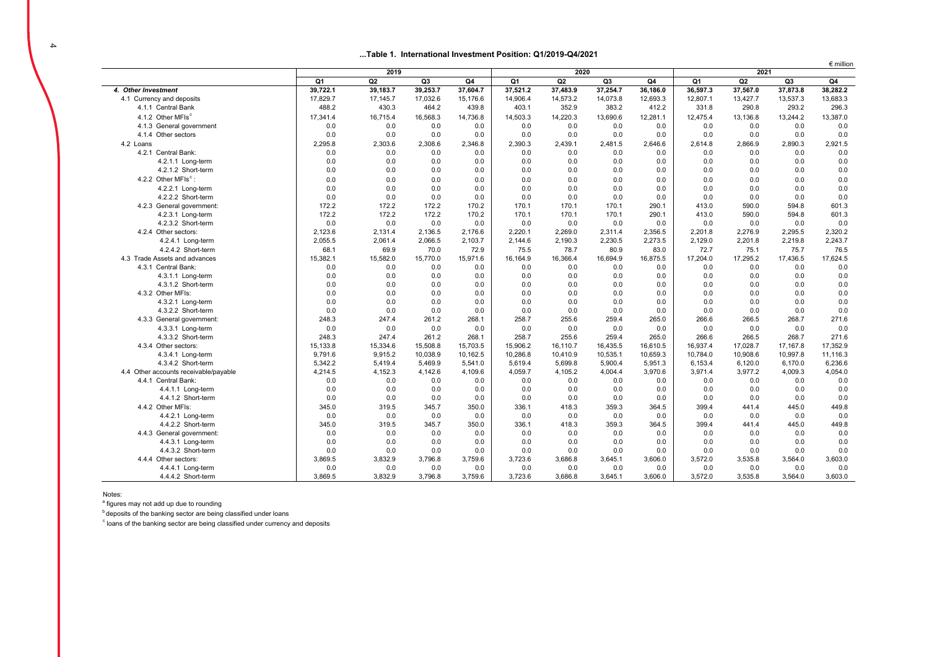#### $\overline{4}$

#### **...Table 1. International Investment Position: Q1/2019-Q4/2021**

|                                       |          | 2019     |          | 2020     |          |          | $\epsilon$ million<br>2021 |          |          |          |          |          |
|---------------------------------------|----------|----------|----------|----------|----------|----------|----------------------------|----------|----------|----------|----------|----------|
|                                       | Q1       | Q2       | Q3       | Q4       | Q1       | Q2       | Q3                         | Q4       | Q1       | Q2       | Q3       | Q4       |
| 4. Other Investment                   | 39,722.1 | 39,183.7 | 39,253.7 | 37,604.7 | 37,521.2 | 37,483.9 | 37,254.7                   | 36,186.0 | 36,597.3 | 37,567.0 | 37,873.8 | 38,282.2 |
| 4.1 Currency and deposits             | 17.829.7 | 17,145.7 | 17.032.6 | 15.176.6 | 14.906.4 | 14.573.2 | 14,073.8                   | 12.693.3 | 12.807.1 | 13.427.7 | 13,537.3 | 13.683.3 |
| 4.1.1 Central Bank                    | 488.2    | 430.3    | 464.2    | 439.8    | 403.1    | 352.9    | 383.2                      | 412.2    | 331.8    | 290.8    | 293.2    | 296.3    |
| 4.1.2 Other MFIs <sup>c</sup>         | 17.341.4 | 16.715.4 | 16,568.3 | 14,736.8 | 14.503.3 | 14,220.3 | 13,690.6                   | 12,281.1 | 12.475.4 | 13,136.8 | 13,244.2 | 13,387.0 |
| 4.1.3 General government              | 0.0      | 0.0      | 0.0      | 0.0      | 0.0      | 0.0      | 0.0                        | 0.0      | 0.0      | 0.0      | 0.0      | 0.0      |
| 4.1.4 Other sectors                   | 0.0      | 0.0      | 0.0      | 0.0      | 0.0      | 0.0      | 0.0                        | 0.0      | 0.0      | 0.0      | 0.0      | 0.0      |
| 4.2 Loans                             | 2,295.8  | 2,303.6  | 2,308.6  | 2,346.8  | 2,390.3  | 2,439.1  | 2,481.5                    | 2,646.6  | 2,614.8  | 2,866.9  | 2,890.3  | 2,921.5  |
| 4.2.1 Central Bank:                   | 0.0      | 0.0      | 0.0      | 0.0      | 0.0      | 0.0      | 0.0                        | 0.0      | 0.0      | 0.0      | 0.0      | 0.0      |
| 4.2.1.1 Long-term                     | 0.0      | 0.0      | 0.0      | 0.0      | 0.0      | 0.0      | 0.0                        | 0.0      | 0.0      | 0.0      | 0.0      | 0.0      |
| 4.2.1.2 Short-term                    | 0.0      | 0.0      | 0.0      | 0.0      | 0.0      | 0.0      | 0.0                        | 0.0      | 0.0      | 0.0      | 0.0      | 0.0      |
| 4.2.2 Other MFIs <sup>c</sup> :       | 0.0      | 0.0      | 0.0      | 0.0      | 0.0      | 0.0      | 0.0                        | 0.0      | 0.0      | 0.0      | 0.0      | 0.0      |
| 4.2.2.1 Long-term                     | 0.0      | 0.0      | 0.0      | 0.0      | 0.0      | 0.0      | 0.0                        | 0.0      | 0.0      | 0.0      | 0.0      | 0.0      |
| 4.2.2.2 Short-term                    | 0.0      | 0.0      | 0.0      | 0.0      | 0.0      | 0.0      | 0.0                        | 0.0      | 0.0      | 0.0      | 0.0      | 0.0      |
| 4.2.3 General government:             | 172.2    | 172.2    | 172.2    | 170.2    | 170.1    | 170.1    | 170.1                      | 290.1    | 413.0    | 590.0    | 594.8    | 601.3    |
| 4.2.3.1 Long-term                     | 172.2    | 172.2    | 172.2    | 170.2    | 170.1    | 170.1    | 170.1                      | 290.1    | 413.0    | 590.0    | 594.8    | 601.3    |
| 4.2.3.2 Short-term                    | 0.0      | 0.0      | 0.0      | 0.0      | 0.0      | 0.0      | 0.0                        | 0.0      | 0.0      | 0.0      | 0.0      | 0.0      |
| 4.2.4 Other sectors:                  | 2,123.6  | 2,131.4  | 2,136.5  | 2.176.6  | 2,220.1  | 2,269.0  | 2,311.4                    | 2,356.5  | 2,201.8  | 2.276.9  | 2,295.5  | 2,320.2  |
| 4.2.4.1 Long-term                     | 2,055.5  | 2.061.4  | 2,066.5  | 2.103.7  | 2.144.6  | 2.190.3  | 2.230.5                    | 2.273.5  | 2.129.0  | 2.201.8  | 2.219.8  | 2.243.7  |
| 4.2.4.2 Short-term                    | 68.1     | 69.9     | 70.0     | 72.9     | 75.5     | 78.7     | 80.9                       | 83.0     | 72.7     | 75.1     | 75.7     | 76.5     |
| 4.3 Trade Assets and advances         | 15,382.1 | 15,582.0 | 15,770.0 | 15,971.6 | 16,164.9 | 16,366.4 | 16,694.9                   | 16,875.5 | 17,204.0 | 17,295.2 | 17,436.5 | 17,624.5 |
| 4.3.1 Central Bank:                   | 0.0      | 0.0      | 0.0      | 0.0      | 0.0      | 0.0      | 0.0                        | 0.0      | 0.0      | 0.0      | 0.0      | 0.0      |
| 4.3.1.1 Long-term                     | 0.0      | 0.0      | 0.0      | 0.0      | 0.0      | 0.0      | 0.0                        | 0.0      | 0.0      | 0.0      | 0.0      | 0.0      |
| 4.3.1.2 Short-term                    | 0.0      | 0.0      | 0.0      | 0.0      | 0.0      | 0.0      | 0.0                        | 0.0      | 0.0      | 0.0      | 0.0      | 0.0      |
| 4.3.2 Other MFIs:                     | 0.0      | 0.0      | 0.0      | 0.0      | 0.0      | 0.0      | 0.0                        | 0.0      | 0.0      | 0.0      | 0.0      | 0.0      |
| 4.3.2.1 Long-term                     | 0.0      | 0.0      | 0.0      | 0.0      | 0.0      | 0.0      | 0.0                        | 0.0      | 0.0      | 0.0      | 0.0      | 0.0      |
| 4.3.2.2 Short-term                    | 0.0      | 0.0      | 0.0      | 0.0      | 0.0      | 0.0      | 0.0                        | 0.0      | 0.0      | 0.0      | 0.0      | 0.0      |
| 4.3.3 General government:             | 248.3    | 247.4    | 261.2    | 268.1    | 258.7    | 255.6    | 259.4                      | 265.0    | 266.6    | 266.5    | 268.7    | 271.6    |
| 4.3.3.1 Long-term                     | 0.0      | 0.0      | 0.0      | 0.0      | 0.0      | 0.0      | 0.0                        | 0.0      | 0.0      | 0.0      | 0.0      | 0.0      |
| 4.3.3.2 Short-term                    | 248.3    | 247.4    | 261.2    | 268.1    | 258.7    | 255.6    | 259.4                      | 265.0    | 266.6    | 266.5    | 268.7    | 271.6    |
| 4.3.4 Other sectors:                  | 15,133.8 | 15,334.6 | 15,508.8 | 15.703.5 | 15,906.2 | 16,110.7 | 16,435.5                   | 16,610.5 | 16,937.4 | 17,028.7 | 17,167.8 | 17,352.9 |
| 4.3.4.1 Long-term                     | 9,791.6  | 9,915.2  | 10,038.9 | 10,162.5 | 10,286.8 | 10,410.9 | 10,535.1                   | 10,659.3 | 10,784.0 | 10,908.6 | 10,997.8 | 11,116.3 |
| 4.3.4.2 Short-term                    | 5,342.2  | 5,419.4  | 5,469.9  | 5,541.0  | 5,619.4  | 5,699.8  | 5,900.4                    | 5,951.3  | 6,153.4  | 6,120.0  | 6,170.0  | 6,236.6  |
| 4.4 Other accounts receivable/payable | 4,214.5  | 4,152.3  | 4,142.6  | 4,109.6  | 4,059.7  | 4,105.2  | 4,004.4                    | 3,970.6  | 3,971.4  | 3,977.2  | 4,009.3  | 4,054.0  |
| 4.4.1 Central Bank:                   | 0.0      | 0.0      | 0.0      | 0.0      | 0.0      | 0.0      | 0.0                        | 0.0      | 0.0      | 0.0      | 0.0      | 0.0      |
| 4.4.1.1 Long-term                     | 0.0      | 0.0      | 0.0      | 0.0      | 0.0      | 0.0      | 0.0                        | 0.0      | 0.0      | 0.0      | 0.0      | 0.0      |
| 4.4.1.2 Short-term                    | 0.0      | 0.0      | 0.0      | 0.0      | 0.0      | 0.0      | 0.0                        | 0.0      | 0.0      | 0.0      | 0.0      | 0.0      |
| 4.4.2 Other MFIs:                     | 345.0    | 319.5    | 345.7    | 350.0    | 336.1    | 418.3    | 359.3                      | 364.5    | 399.4    | 441.4    | 445.0    | 449.8    |
| 4.4.2.1 Long-term                     | 0.0      | 0.0      | 0.0      | 0.0      | 0.0      | 0.0      | 0.0                        | 0.0      | 0.0      | 0.0      | 0.0      | 0.0      |
| 4.4.2.2 Short-term                    | 345.0    | 319.5    | 345.7    | 350.0    | 336.1    | 418.3    | 359.3                      | 364.5    | 399.4    | 441.4    | 445.0    | 449.8    |
| 4.4.3 General government:             | 0.0      | 0.0      | 0.0      | 0.0      | 0.0      | 0.0      | 0.0                        | 0.0      | 0.0      | 0.0      | 0.0      | 0.0      |
| 4.4.3.1 Long-term                     | 0.0      | 0.0      | 0.0      | 0.0      | 0.0      | 0.0      | 0.0                        | 0.0      | 0.0      | 0.0      | 0.0      | 0.0      |
| 4.4.3.2 Short-term                    | 0.0      | 0.0      | 0.0      | 0.0      | 0.0      | 0.0      | 0.0                        | 0.0      | 0.0      | 0.0      | 0.0      | 0.0      |
| 4.4.4 Other sectors:                  | 3.869.5  | 3.832.9  | 3.796.8  | 3.759.6  | 3.723.6  | 3.686.8  | 3,645.1                    | 3.606.0  | 3.572.0  | 3,535.8  | 3.564.0  | 3,603.0  |
| 4.4.4.1 Long-term                     | 0.0      | 0.0      | 0.0      | 0.0      | 0.0      | 0.0      | 0.0                        | 0.0      | 0.0      | 0.0      | 0.0      | 0.0      |
| 4.4.4.2 Short-term                    | 3,869.5  | 3,832.9  | 3,796.8  | 3,759.6  | 3,723.6  | 3,686.8  | 3,645.1                    | 3,606.0  | 3,572.0  | 3,535.8  | 3,564.0  | 3,603.0  |

Notes:

a figures may not add up due to rounding

**b** deposits of the banking sector are being classified under loans

 $\degree$  loans of the banking sector are being classified under currency and deposits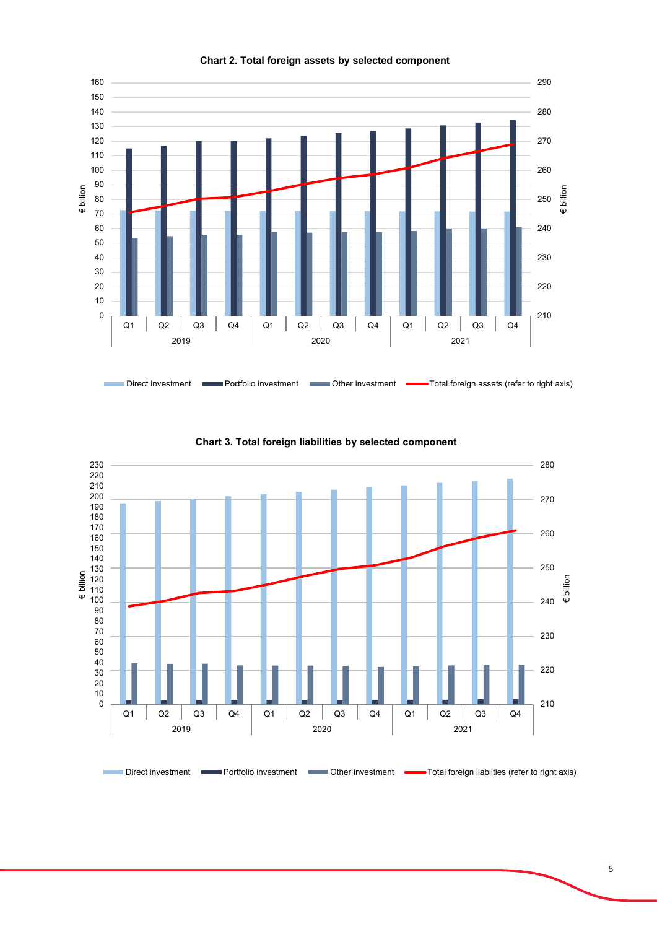

**Chart 2. Total foreign assets by selected component**



**Chart 3. Total foreign liabilities by selected component**